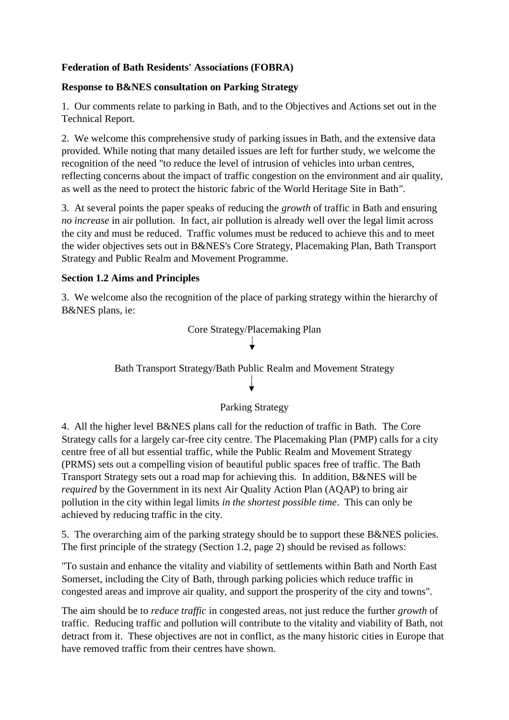# **Federation of Bath Residents' Associations (FOBRA)**

### **Response to B&NES consultation on Parking Strategy**

1. Our comments relate to parking in Bath, and to the Objectives and Actions set out in the Technical Report.

2. We welcome this comprehensive study of parking issues in Bath, and the extensive data provided. While noting that many detailed issues are left for further study, we welcome the recognition of the need "to reduce the level of intrusion of vehicles into urban centres, reflecting concerns about the impact of traffic congestion on the environment and air quality, as well as the need to protect the historic fabric of the World Heritage Site in Bath".

3. At several points the paper speaks of reducing the *growth* of traffic in Bath and ensuring *no increase* in air pollution. In fact, air pollution is already well over the legal limit across the city and must be reduced. Traffic volumes must be reduced to achieve this and to meet the wider objectives sets out in B&NES's Core Strategy, Placemaking Plan, Bath Transport Strategy and Public Realm and Movement Programme.

### **Section 1.2 Aims and Principles**

3. We welcome also the recognition of the place of parking strategy within the hierarchy of B&NES plans, ie:



Bath Transport Strategy/Bath Public Realm and Movement Strategy

# Parking Strategy

4. All the higher level B&NES plans call for the reduction of traffic in Bath. The Core Strategy calls for a largely car-free city centre. The Placemaking Plan (PMP) calls for a city centre free of all but essential traffic, while the Public Realm and Movement Strategy (PRMS) sets out a compelling vision of beautiful public spaces free of traffic. The Bath Transport Strategy sets out a road map for achieving this. In addition, B&NES will be *required* by the Government in its next Air Quality Action Plan (AQAP) to bring air pollution in the city within legal limits *in the shortest possible time*. This can only be achieved by reducing traffic in the city.

5. The overarching aim of the parking strategy should be to support these B&NES policies. The first principle of the strategy (Section 1.2, page 2) should be revised as follows:

"To sustain and enhance the vitality and viability of settlements within Bath and North East Somerset, including the City of Bath, through parking policies which reduce traffic in congested areas and improve air quality, and support the prosperity of the city and towns".

The aim should be to *reduce traffic* in congested areas, not just reduce the further *growth* of traffic. Reducing traffic and pollution will contribute to the vitality and viability of Bath, not detract from it. These objectives are not in conflict, as the many historic cities in Europe that have removed traffic from their centres have shown.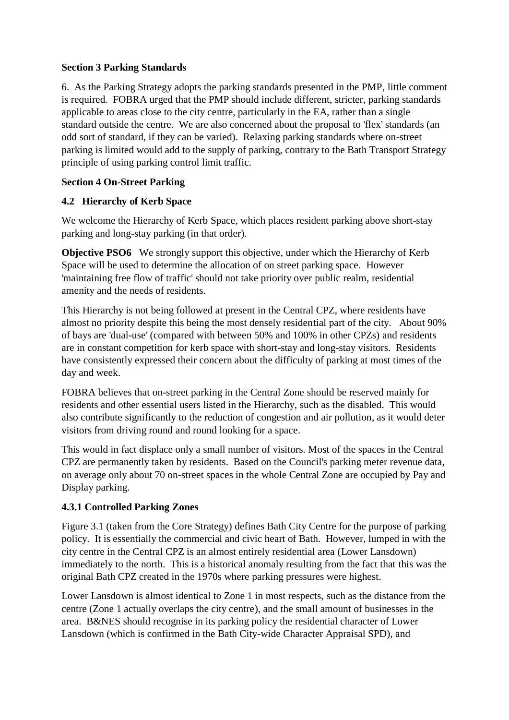### **Section 3 Parking Standards**

6. As the Parking Strategy adopts the parking standards presented in the PMP, little comment is required. FOBRA urged that the PMP should include different, stricter, parking standards applicable to areas close to the city centre, particularly in the EA, rather than a single standard outside the centre. We are also concerned about the proposal to 'flex' standards (an odd sort of standard, if they can be varied). Relaxing parking standards where on-street parking is limited would add to the supply of parking, contrary to the Bath Transport Strategy principle of using parking control limit traffic.

### **Section 4 On-Street Parking**

### **4.2 Hierarchy of Kerb Space**

We welcome the Hierarchy of Kerb Space, which places resident parking above short-stay parking and long-stay parking (in that order).

**Objective PSO6** We strongly support this objective, under which the Hierarchy of Kerb Space will be used to determine the allocation of on street parking space. However 'maintaining free flow of traffic' should not take priority over public realm, residential amenity and the needs of residents.

This Hierarchy is not being followed at present in the Central CPZ, where residents have almost no priority despite this being the most densely residential part of the city. About 90% of bays are 'dual-use' (compared with between 50% and 100% in other CPZs) and residents are in constant competition for kerb space with short-stay and long-stay visitors. Residents have consistently expressed their concern about the difficulty of parking at most times of the day and week.

FOBRA believes that on-street parking in the Central Zone should be reserved mainly for residents and other essential users listed in the Hierarchy, such as the disabled. This would also contribute significantly to the reduction of congestion and air pollution, as it would deter visitors from driving round and round looking for a space.

This would in fact displace only a small number of visitors. Most of the spaces in the Central CPZ are permanently taken by residents. Based on the Council's parking meter revenue data, on average only about 70 on-street spaces in the whole Central Zone are occupied by Pay and Display parking.

### **4.3.1 Controlled Parking Zones**

Figure 3.1 (taken from the Core Strategy) defines Bath City Centre for the purpose of parking policy. It is essentially the commercial and civic heart of Bath. However, lumped in with the city centre in the Central CPZ is an almost entirely residential area (Lower Lansdown) immediately to the north. This is a historical anomaly resulting from the fact that this was the original Bath CPZ created in the 1970s where parking pressures were highest.

Lower Lansdown is almost identical to Zone 1 in most respects, such as the distance from the centre (Zone 1 actually overlaps the city centre), and the small amount of businesses in the area. B&NES should recognise in its parking policy the residential character of Lower Lansdown (which is confirmed in the Bath City-wide Character Appraisal SPD), and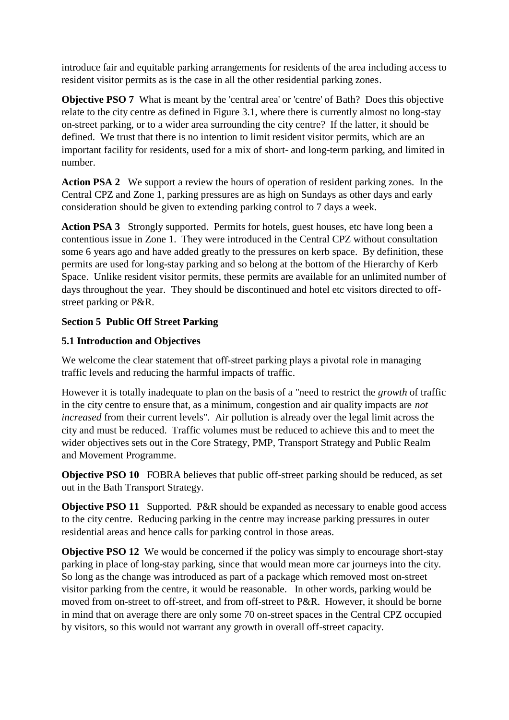introduce fair and equitable parking arrangements for residents of the area including access to resident visitor permits as is the case in all the other residential parking zones.

**Objective PSO 7** What is meant by the 'central area' or 'centre' of Bath? Does this objective relate to the city centre as defined in Figure 3.1, where there is currently almost no long-stay on-street parking, or to a wider area surrounding the city centre? If the latter, it should be defined. We trust that there is no intention to limit resident visitor permits, which are an important facility for residents, used for a mix of short- and long-term parking, and limited in number.

**Action PSA 2** We support a review the hours of operation of resident parking zones. In the Central CPZ and Zone 1, parking pressures are as high on Sundays as other days and early consideration should be given to extending parking control to 7 days a week.

**Action PSA 3** Strongly supported. Permits for hotels, guest houses, etc have long been a contentious issue in Zone 1. They were introduced in the Central CPZ without consultation some 6 years ago and have added greatly to the pressures on kerb space. By definition, these permits are used for long-stay parking and so belong at the bottom of the Hierarchy of Kerb Space. Unlike resident visitor permits, these permits are available for an unlimited number of days throughout the year. They should be discontinued and hotel etc visitors directed to offstreet parking or P&R.

# **Section 5 Public Off Street Parking**

### **5.1 Introduction and Objectives**

We welcome the clear statement that off-street parking plays a pivotal role in managing traffic levels and reducing the harmful impacts of traffic.

However it is totally inadequate to plan on the basis of a "need to restrict the *growth* of traffic in the city centre to ensure that, as a minimum, congestion and air quality impacts are *not increased* from their current levels". Air pollution is already over the legal limit across the city and must be reduced. Traffic volumes must be reduced to achieve this and to meet the wider objectives sets out in the Core Strategy, PMP, Transport Strategy and Public Realm and Movement Programme.

**Objective PSO 10** FOBRA believes that public off-street parking should be reduced, as set out in the Bath Transport Strategy.

**Objective PSO 11** Supported. P&R should be expanded as necessary to enable good access to the city centre. Reducing parking in the centre may increase parking pressures in outer residential areas and hence calls for parking control in those areas.

**Objective PSO 12** We would be concerned if the policy was simply to encourage short-stay parking in place of long-stay parking, since that would mean more car journeys into the city. So long as the change was introduced as part of a package which removed most on-street visitor parking from the centre, it would be reasonable. In other words, parking would be moved from on-street to off-street, and from off-street to P&R. However, it should be borne in mind that on average there are only some 70 on-street spaces in the Central CPZ occupied by visitors, so this would not warrant any growth in overall off-street capacity.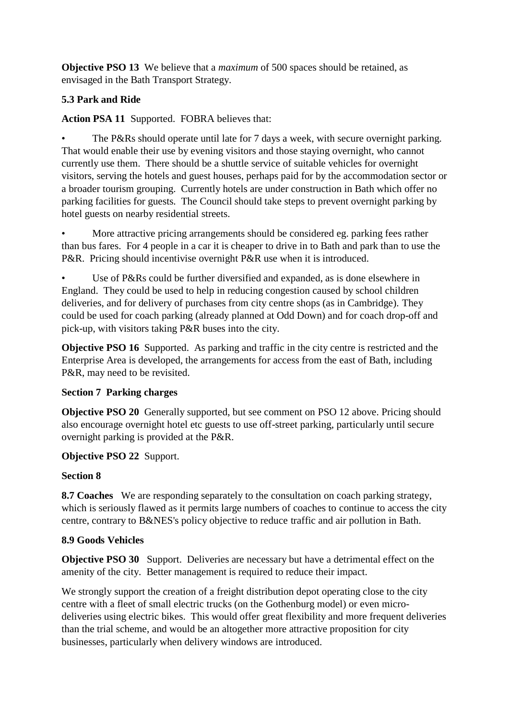**Objective PSO 13** We believe that a *maximum* of 500 spaces should be retained, as envisaged in the Bath Transport Strategy.

# **5.3 Park and Ride**

**Action PSA 11** Supported. FOBRA believes that:

The P&Rs should operate until late for 7 days a week, with secure overnight parking. That would enable their use by evening visitors and those staying overnight, who cannot currently use them. There should be a shuttle service of suitable vehicles for overnight visitors, serving the hotels and guest houses, perhaps paid for by the accommodation sector or a broader tourism grouping. Currently hotels are under construction in Bath which offer no parking facilities for guests. The Council should take steps to prevent overnight parking by hotel guests on nearby residential streets.

More attractive pricing arrangements should be considered eg. parking fees rather than bus fares. For 4 people in a car it is cheaper to drive in to Bath and park than to use the P&R. Pricing should incentivise overnight P&R use when it is introduced.

Use of P&Rs could be further diversified and expanded, as is done elsewhere in England. They could be used to help in reducing congestion caused by school children deliveries, and for delivery of purchases from city centre shops (as in Cambridge). They could be used for coach parking (already planned at Odd Down) and for coach drop-off and pick-up, with visitors taking P&R buses into the city.

**Objective PSO 16** Supported. As parking and traffic in the city centre is restricted and the Enterprise Area is developed, the arrangements for access from the east of Bath, including P&R, may need to be revisited.

### **Section 7 Parking charges**

**Objective PSO 20** Generally supported, but see comment on PSO 12 above. Pricing should also encourage overnight hotel etc guests to use off-street parking, particularly until secure overnight parking is provided at the P&R.

### **Objective PSO 22** Support.

### **Section 8**

**8.7 Coaches** We are responding separately to the consultation on coach parking strategy, which is seriously flawed as it permits large numbers of coaches to continue to access the city centre, contrary to B&NES's policy objective to reduce traffic and air pollution in Bath.

### **8.9 Goods Vehicles**

**Objective PSO 30** Support. Deliveries are necessary but have a detrimental effect on the amenity of the city. Better management is required to reduce their impact.

We strongly support the creation of a freight distribution depot operating close to the city centre with a fleet of small electric trucks (on the Gothenburg model) or even microdeliveries using electric bikes. This would offer great flexibility and more frequent deliveries than the trial scheme, and would be an altogether more attractive proposition for city businesses, particularly when delivery windows are introduced.